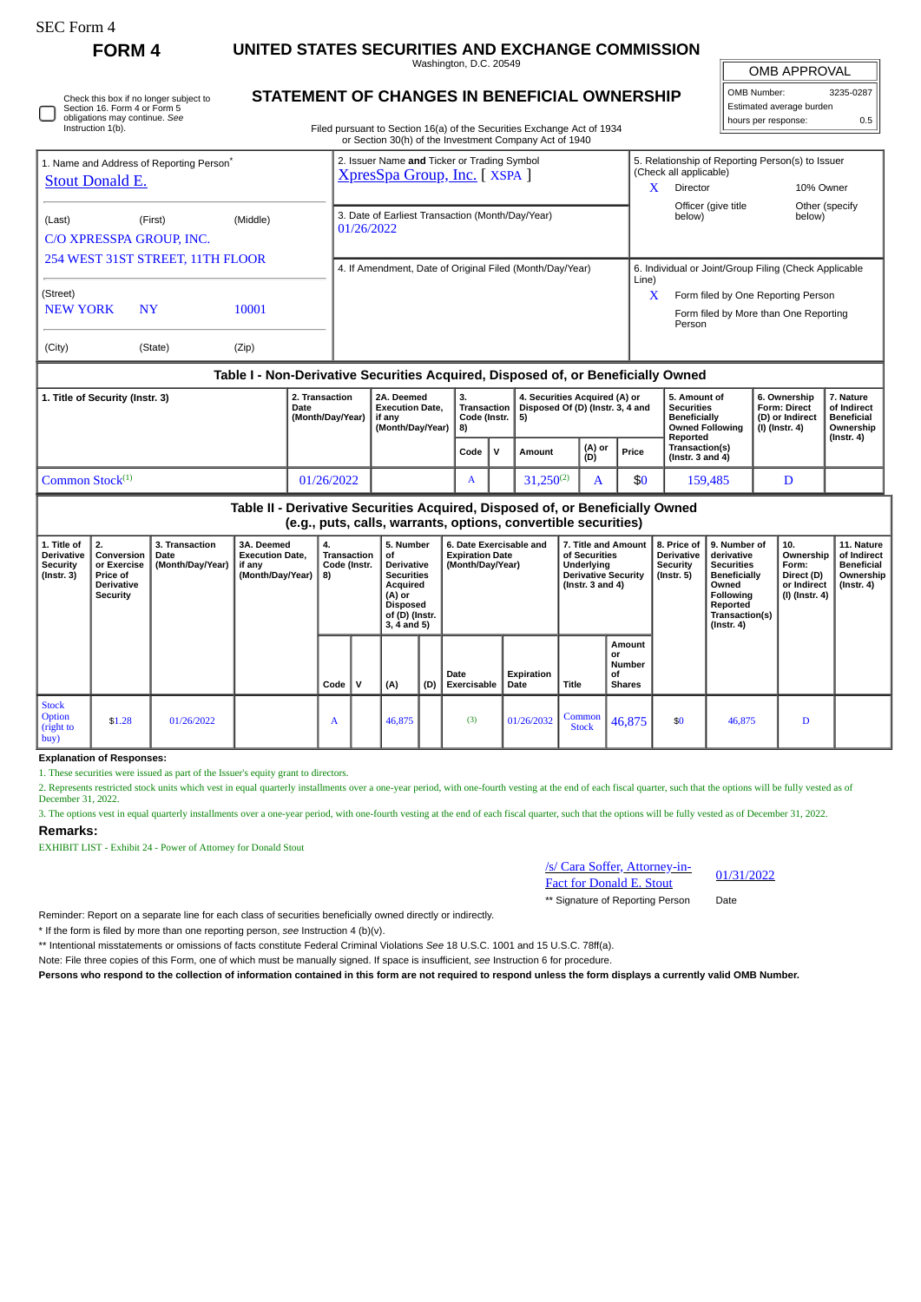Check this box if no longer subject to Section 16. Form 4 or Form 5 obligations may continue. *See* Instruction 1(b).

**FORM 4 UNITED STATES SECURITIES AND EXCHANGE COMMISSION**

Washington, D.C. 20549 **STATEMENT OF CHANGES IN BENEFICIAL OWNERSHIP**

| OMB Number:              | 3235-0287 |  |  |  |  |  |  |  |
|--------------------------|-----------|--|--|--|--|--|--|--|
| Estimated average burden |           |  |  |  |  |  |  |  |
| hours per response:      | 0.5       |  |  |  |  |  |  |  |

Filed pursuant to Section 16(a) of the Securities Exchange Act of 1934 or Section 30(h) of the Investment Company Act of 1940

|                                                      |           |          | or Section 30(ii) or the investment Company Act or 1940                    |                                                                                                     |  |  |  |  |  |
|------------------------------------------------------|-----------|----------|----------------------------------------------------------------------------|-----------------------------------------------------------------------------------------------------|--|--|--|--|--|
| 1. Name and Address of Reporting Person <sup>®</sup> |           |          | 2. Issuer Name and Ticker or Trading Symbol<br>XpresSpa Group, Inc. [XSPA] | 5. Relationship of Reporting Person(s) to Issuer<br>(Check all applicable)                          |  |  |  |  |  |
| <b>Stout Donald E.</b>                               |           |          |                                                                            | x<br>10% Owner<br>Director                                                                          |  |  |  |  |  |
| (Last)<br>C/O XPRESSPA GROUP, INC.                   | (First)   | (Middle) | 3. Date of Earliest Transaction (Month/Day/Year)<br>01/26/2022             | Officer (give title<br>Other (specify<br>below)<br>below)                                           |  |  |  |  |  |
| 254 WEST 31ST STREET, 11TH FLOOR                     |           |          | 4. If Amendment, Date of Original Filed (Month/Day/Year)                   | 6. Individual or Joint/Group Filing (Check Applicable                                               |  |  |  |  |  |
| (Street)<br><b>NEW YORK</b>                          | <b>NY</b> | 10001    |                                                                            | Line)<br>X<br>Form filed by One Reporting Person<br>Form filed by More than One Reporting<br>Person |  |  |  |  |  |
| (City)                                               | (State)   | (Zip)    |                                                                            |                                                                                                     |  |  |  |  |  |
|                                                      |           | _        | .<br>. .                                                                   | - - - -                                                                                             |  |  |  |  |  |

## **Table I - Non-Derivative Securities Acquired, Disposed of, or Beneficially Owned**

| 1. Title of Security (Instr. 3) | 2. Transaction<br>Date<br>(Month/Dav/Year) | 2A. Deemed<br><b>Execution Date.</b><br>if anv<br>(Month/Dav/Year) | Code (Instr.   5)<br>I 8) |  | 4. Securities Acquired (A) or<br>Transaction   Disposed Of (D) (Instr. 3, 4 and |               |       | 5. Amount of<br>Securities<br>Beneficially<br>Owned Followina<br>Reported | 6. Ownership<br>Form: Direct<br>D) or Indirect<br>  (I) (Instr. 4) | 7. Nature<br>of Indirect<br><b>Beneficial</b><br>Ownership<br>(Instr. 4) |
|---------------------------------|--------------------------------------------|--------------------------------------------------------------------|---------------------------|--|---------------------------------------------------------------------------------|---------------|-------|---------------------------------------------------------------------------|--------------------------------------------------------------------|--------------------------------------------------------------------------|
|                                 |                                            |                                                                    | Code $\vert$ V            |  | Amount                                                                          | (A) or<br>(D) | Price | <b>Transaction(s)</b><br>l (Instr. 3 and 4)                               |                                                                    |                                                                          |
| Common Stock $(1)$              | 01/26/2022                                 |                                                                    | A                         |  | $31.250^{(2)}$                                                                  |               | \$0   | 159.485                                                                   | D                                                                  |                                                                          |

## **Table II - Derivative Securities Acquired, Disposed of, or Beneficially Owned (e.g., puts, calls, warrants, options, convertible securities)**

| 1. Title of<br>Derivative<br>Security<br>(Instr. 3) | 2.<br>Conversion<br>or Exercise<br>Price of<br><b>Derivative</b><br>Security | 3. Transaction<br>Date<br>(Month/Day/Year) | 3A. Deemed<br><b>Execution Date,</b><br>if any<br>(Month/Day/Year) | 4.<br>Transaction<br>Code (Instr.<br>8) |   | 5. Number<br>οf<br><b>Derivative</b><br><b>Securities</b><br>Acquired<br>(A) or<br><b>Disposed</b><br>of (D) (Instr.<br>$3, 4$ and $5)$ |     | 6. Date Exercisable and<br><b>Expiration Date</b><br>(Month/Day/Year) |                    | 7. Title and Amount<br>of Securities<br>Underlying<br><b>Derivative Security</b><br>( $Instr. 3 and 4$ ) |                                                      | 8. Price of<br><b>Derivative</b><br>Security<br>(Instr. 5) | 9. Number of<br>derivative<br><b>Securities</b><br>Beneficially<br>Owned<br><b>Following</b><br>Reported<br>Transaction(s)<br>$($ lnstr. 4 $)$ | 10.<br>Ownership<br>Form:<br>Direct (D)<br>or Indirect<br>(I) (Instr. 4) | 11. Nature<br>of Indirect<br><b>Beneficial</b><br>Ownership<br>$($ Instr. 4 $)$ |
|-----------------------------------------------------|------------------------------------------------------------------------------|--------------------------------------------|--------------------------------------------------------------------|-----------------------------------------|---|-----------------------------------------------------------------------------------------------------------------------------------------|-----|-----------------------------------------------------------------------|--------------------|----------------------------------------------------------------------------------------------------------|------------------------------------------------------|------------------------------------------------------------|------------------------------------------------------------------------------------------------------------------------------------------------|--------------------------------------------------------------------------|---------------------------------------------------------------------------------|
|                                                     |                                                                              |                                            |                                                                    | Code                                    | v | (A)                                                                                                                                     | (D) | Date<br><b>Exercisable</b>                                            | Expiration<br>Date | <b>Title</b>                                                                                             | Amount<br>or<br><b>Number</b><br>οf<br><b>Shares</b> |                                                            |                                                                                                                                                |                                                                          |                                                                                 |
| <b>Stock</b><br><b>Option</b><br>(right to<br> buy) | \$1.28                                                                       | 01/26/2022                                 |                                                                    | A                                       |   | 46,875                                                                                                                                  |     | (3)                                                                   | 01/26/2032         | Common<br><b>Stock</b>                                                                                   | 46,875                                               | \$0                                                        | 46,875                                                                                                                                         | D                                                                        |                                                                                 |

**Explanation of Responses:**

1. These securities were issued as part of the Issuer's equity grant to directors.

2. Represents restricted stock units which vest in equal quarterly installments over a one-year period, with one-fourth vesting at the end of each fiscal quarter, such that the options will be fully vested as of December 31, 2022.

3. The options vest in equal quarterly installments over a one-year period, with one-fourth vesting at the end of each fiscal quarter, such that the options will be fully vested as of December 31, 2022.

## **Remarks:**

EXHIBIT LIST - Exhibit 24 - Power of Attorney for Donald Stout

/s/ Cara Soffer, Attorney-in-<u>S/Cara Soffer, Attorney-in-</u><br>Fact for Donald E. Stout 01/31/2022

\*\* Signature of Reporting Person Date

Reminder: Report on a separate line for each class of securities beneficially owned directly or indirectly.

\* If the form is filed by more than one reporting person, *see* Instruction 4 (b)(v).

\*\* Intentional misstatements or omissions of facts constitute Federal Criminal Violations *See* 18 U.S.C. 1001 and 15 U.S.C. 78ff(a).

Note: File three copies of this Form, one of which must be manually signed. If space is insufficient, *see* Instruction 6 for procedure.

**Persons who respond to the collection of information contained in this form are not required to respond unless the form displays a currently valid OMB Number.**

 $\frac{1}{2}$ OMB APPROVAL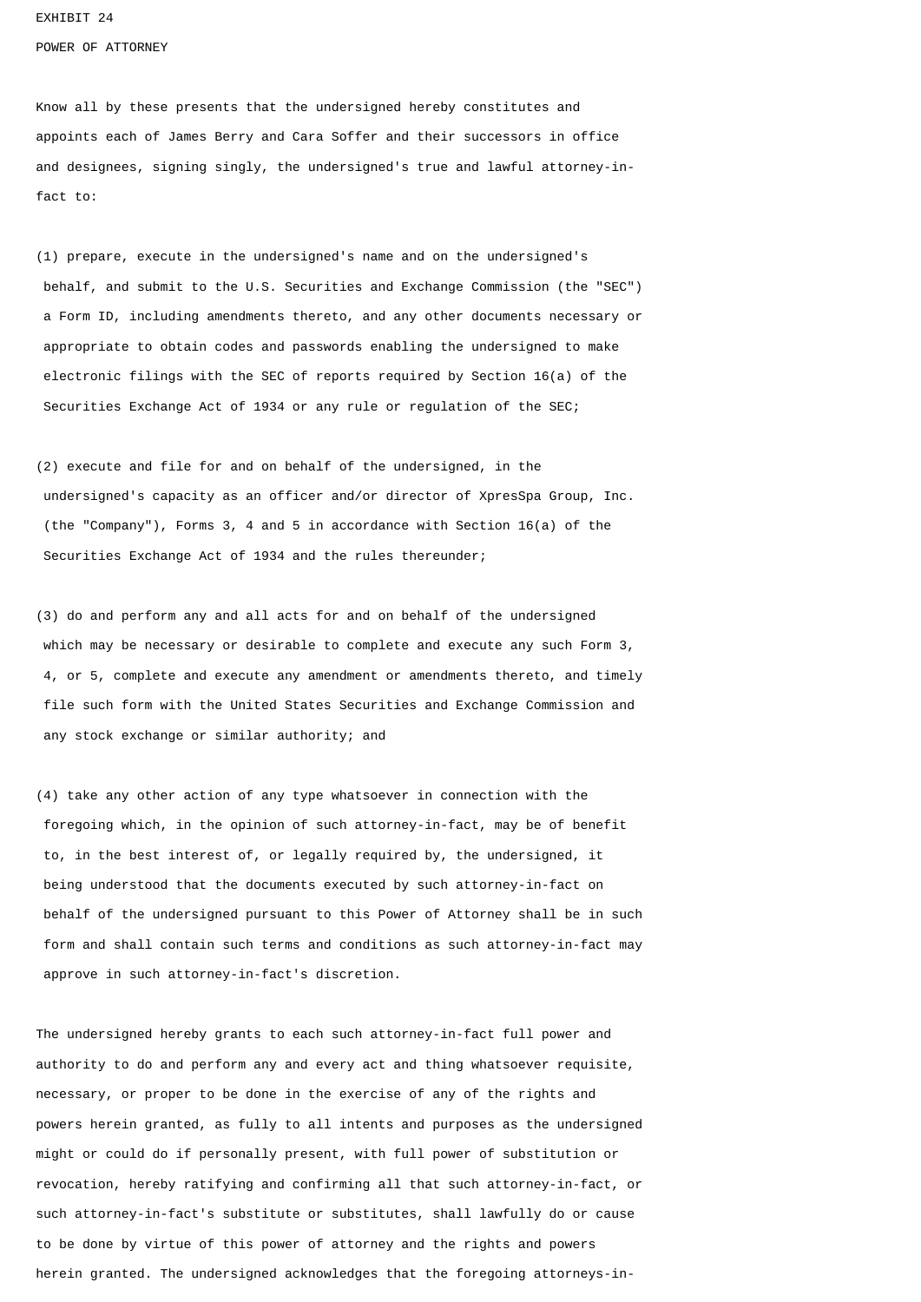EXHIBIT 24

POWER OF ATTORNEY

Know all by these presents that the undersigned hereby constitutes and appoints each of James Berry and Cara Soffer and their successors in office and designees, signing singly, the undersigned's true and lawful attorney-infact to:

(1) prepare, execute in the undersigned's name and on the undersigned's behalf, and submit to the U.S. Securities and Exchange Commission (the "SEC") a Form ID, including amendments thereto, and any other documents necessary or appropriate to obtain codes and passwords enabling the undersigned to make electronic filings with the SEC of reports required by Section 16(a) of the Securities Exchange Act of 1934 or any rule or regulation of the SEC;

(2) execute and file for and on behalf of the undersigned, in the undersigned's capacity as an officer and/or director of XpresSpa Group, Inc. (the "Company"), Forms 3, 4 and 5 in accordance with Section 16(a) of the Securities Exchange Act of 1934 and the rules thereunder;

(3) do and perform any and all acts for and on behalf of the undersigned which may be necessary or desirable to complete and execute any such Form 3, 4, or 5, complete and execute any amendment or amendments thereto, and timely file such form with the United States Securities and Exchange Commission and any stock exchange or similar authority; and

(4) take any other action of any type whatsoever in connection with the foregoing which, in the opinion of such attorney-in-fact, may be of benefit to, in the best interest of, or legally required by, the undersigned, it being understood that the documents executed by such attorney-in-fact on behalf of the undersigned pursuant to this Power of Attorney shall be in such form and shall contain such terms and conditions as such attorney-in-fact may approve in such attorney-in-fact's discretion.

The undersigned hereby grants to each such attorney-in-fact full power and authority to do and perform any and every act and thing whatsoever requisite, necessary, or proper to be done in the exercise of any of the rights and powers herein granted, as fully to all intents and purposes as the undersigned might or could do if personally present, with full power of substitution or revocation, hereby ratifying and confirming all that such attorney-in-fact, or such attorney-in-fact's substitute or substitutes, shall lawfully do or cause to be done by virtue of this power of attorney and the rights and powers herein granted. The undersigned acknowledges that the foregoing attorneys-in